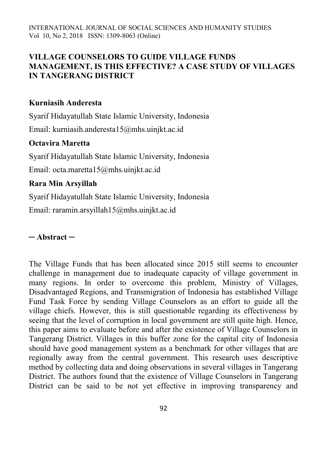# **VILLAGE COUNSELORS TO GUIDE VILLAGE FUNDS MANAGEMENT, IS THIS EFFECTIVE? A CASE STUDY OF VILLAGES IN TANGERANG DISTRICT**

#### **Kurniasih Anderesta**

Syarif Hidayatullah State Islamic University, Indonesia

Email: kurniasih.anderesta15@mhs.uinjkt.ac.id

# **Octavira Maretta**

Syarif Hidayatullah State Islamic University, Indonesia

Email: octa.maretta15@mhs.uinjkt.ac.id

# **Rara Min Arsyillah**

Syarif Hidayatullah State Islamic University, Indonesia

Email: [raramin.arsyillah15@mhs.uinjkt.ac.id](mailto:raramin.arsyillah15@mhs.uinjkt.ac.id)

### **─ Abstract ─**

The Village Funds that has been allocated since 2015 still seems to encounter challenge in management due to inadequate capacity of village government in many regions. In order to overcome this problem, Ministry of Villages, Disadvantaged Regions, and Transmigration of Indonesia has established Village Fund Task Force by sending Village Counselors as an effort to guide all the village chiefs. However, this is still questionable regarding its effectiveness by seeing that the level of corruption in local government are still quite high. Hence, this paper aims to evaluate before and after the existence of Village Counselors in Tangerang District. Villages in this buffer zone for the capital city of Indonesia should have good management system as a benchmark for other villages that are regionally away from the central government. This research uses descriptive method by collecting data and doing observations in several villages in Tangerang District. The authors found that the existence of Village Counselors in Tangerang District can be said to be not yet effective in improving transparency and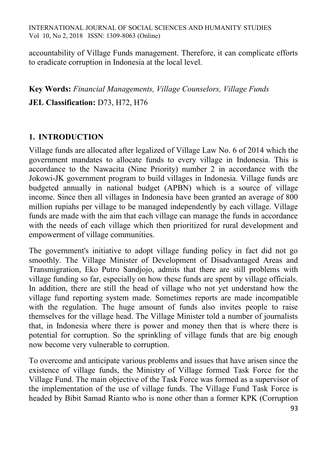accountability of Village Funds management. Therefore, it can complicate efforts to eradicate corruption in Indonesia at the local level.

**Key Words:** *Financial Managements, Village Counselors, Village Funds* **JEL Classification:** D73, H72, H76

# **1. INTRODUCTION**

Village funds are allocated after legalized of Village Law No. 6 of 2014 which the government mandates to allocate funds to every village in Indonesia. This is accordance to the Nawacita (Nine Priority) number 2 in accordance with the Jokowi-JK government program to build villages in Indonesia. Village funds are budgeted annually in national budget (APBN) which is a source of village income. Since then all villages in Indonesia have been granted an average of 800 million rupiahs per village to be managed independently by each village. Village funds are made with the aim that each village can manage the funds in accordance with the needs of each village which then prioritized for rural development and empowerment of village communities.

The government's initiative to adopt village funding policy in fact did not go smoothly. The Village Minister of Development of Disadvantaged Areas and Transmigration, Eko Putro Sandjojo, admits that there are still problems with village funding so far, especially on how these funds are spent by village officials. In addition, there are still the head of village who not yet understand how the village fund reporting system made. Sometimes reports are made incompatible with the regulation. The huge amount of funds also invites people to raise themselves for the village head. The Village Minister told a number of journalists that, in Indonesia where there is power and money then that is where there is potential for corruption. So the sprinkling of village funds that are big enough now become very vulnerable to corruption.

To overcome and anticipate various problems and issues that have arisen since the existence of village funds, the Ministry of Village formed Task Force for the Village Fund. The main objective of the Task Force was formed as a supervisor of the implementation of the use of village funds. The Village Fund Task Force is headed by Bibit Samad Rianto who is none other than a former KPK (Corruption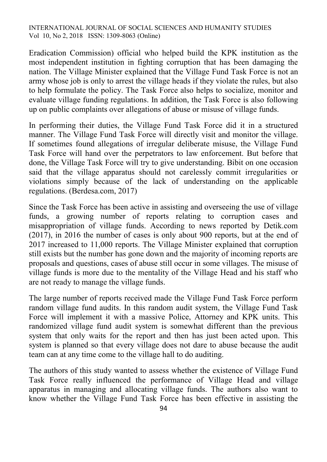Eradication Commission) official who helped build the KPK institution as the most independent institution in fighting corruption that has been damaging the nation. The Village Minister explained that the Village Fund Task Force is not an army whose job is only to arrest the village heads if they violate the rules, but also to help formulate the policy. The Task Force also helps to socialize, monitor and evaluate village funding regulations. In addition, the Task Force is also following up on public complaints over allegations of abuse or misuse of village funds.

In performing their duties, the Village Fund Task Force did it in a structured manner. The Village Fund Task Force will directly visit and monitor the village. If sometimes found allegations of irregular deliberate misuse, the Village Fund Task Force will hand over the perpetrators to law enforcement. But before that done, the Village Task Force will try to give understanding. Bibit on one occasion said that the village apparatus should not carelessly commit irregularities or violations simply because of the lack of understanding on the applicable regulations. (Berdesa.com, 2017)

Since the Task Force has been active in assisting and overseeing the use of village funds, a growing number of reports relating to corruption cases and misappropriation of village funds. According to news reported by Detik.com (2017), in 2016 the number of cases is only about 900 reports, but at the end of 2017 increased to 11,000 reports. The Village Minister explained that corruption still exists but the number has gone down and the majority of incoming reports are proposals and questions, cases of abuse still occur in some villages. The misuse of village funds is more due to the mentality of the Village Head and his staff who are not ready to manage the village funds.

The large number of reports received made the Village Fund Task Force perform random village fund audits. In this random audit system, the Village Fund Task Force will implement it with a massive Police, Attorney and KPK units. This randomized village fund audit system is somewhat different than the previous system that only waits for the report and then has just been acted upon. This system is planned so that every village does not dare to abuse because the audit team can at any time come to the village hall to do auditing.

The authors of this study wanted to assess whether the existence of Village Fund Task Force really influenced the performance of Village Head and village apparatus in managing and allocating village funds. The authors also want to know whether the Village Fund Task Force has been effective in assisting the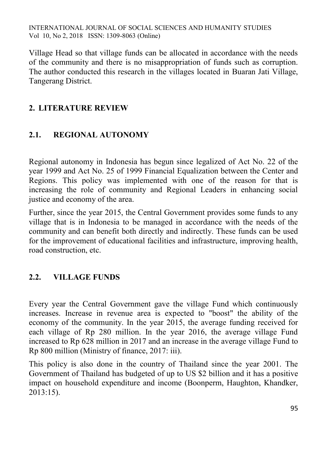Village Head so that village funds can be allocated in accordance with the needs of the community and there is no misappropriation of funds such as corruption. The author conducted this research in the villages located in Buaran Jati Village, Tangerang District.

# **2. LITERATURE REVIEW**

# **2.1. REGIONAL AUTONOMY**

Regional autonomy in Indonesia has begun since legalized of Act No. 22 of the year 1999 and Act No. 25 of 1999 Financial Equalization between the Center and Regions. This policy was implemented with one of the reason for that is increasing the role of community and Regional Leaders in enhancing social justice and economy of the area.

Further, since the year 2015, the Central Government provides some funds to any village that is in Indonesia to be managed in accordance with the needs of the community and can benefit both directly and indirectly. These funds can be used for the improvement of educational facilities and infrastructure, improving health, road construction, etc.

# **2.2. VILLAGE FUNDS**

Every year the Central Government gave the village Fund which continuously increases. Increase in revenue area is expected to "boost" the ability of the economy of the community. In the year 2015, the average funding received for each village of Rp 280 million. In the year 2016, the average village Fund increased to Rp 628 million in 2017 and an increase in the average village Fund to Rp 800 million (Ministry of finance, 2017: iii).

This policy is also done in the country of Thailand since the year 2001. The Government of Thailand has budgeted of up to US \$2 billion and it has a positive impact on household expenditure and income (Boonperm, Haughton, Khandker, 2013:15).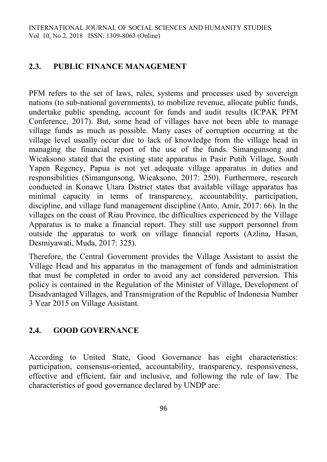#### **2.3. PUBLIC FINANCE MANAGEMENT**

PFM refers to the set of laws, rules, systems and processes used by sovereign nations (to sub-national governments), to mobilize revenue, allocate public funds, undertake public spending, account for funds and audit results (ICPAK PFM Conference, 2017). But, some head of villages have not been able to manage village funds as much as possible. Many cases of corruption occurring at the village level usually occur due to lack of knowledge from the village head in managing the financial report of the use of the funds. Simangunsong and Wicaksono stated that the existing state apparatus in Pasir Putih Village, South Yapen Regency, Papua is not yet adequate village apparatus in duties and responsibilities (Simangunsong, Wicaksono, 2017: 250). Furthermore, research conducted in Konawe Utara District states that available village apparatus has minimal capacity in terms of transparency, accountability, participation, discipline, and village fund management discipline (Anto, Amir, 2017: 66). In the villages on the coast of Riau Province, the difficulties experienced by the Village Apparatus is to make a financial report. They still use support personnel from outside the apparatus to work on village financial reports (Azlina, Hasan, Desmiyawati, Muda, 2017: 325).

Therefore, the Central Government provides the Village Assistant to assist the Village Head and his apparatus in the management of funds and administration that must be completed in order to avoid any act considered perversion. This policy is contained in the Regulation of the Minister of Village, Development of Disadvantaged Villages, and Transmigration of the Republic of Indonesia Number 3 Year 2015 on Village Assistant.

### **2.4. GOOD GOVERNANCE**

According to United State, Good Governance has eight characteristics: participation, consensus-oriented, accountability, transparency, responsiveness, effective and efficient, fair and inclusive, and following the rule of law. The characteristics of good governance declared by UNDP are: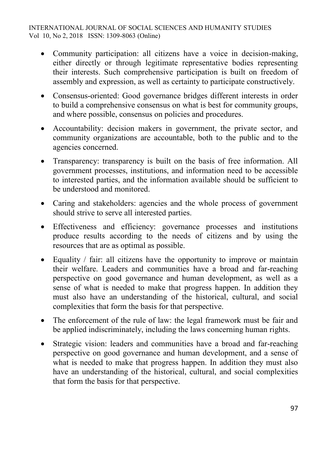- Community participation: all citizens have a voice in decision-making, either directly or through legitimate representative bodies representing their interests. Such comprehensive participation is built on freedom of assembly and expression, as well as certainty to participate constructively.
- Consensus-oriented: Good governance bridges different interests in order to build a comprehensive consensus on what is best for community groups, and where possible, consensus on policies and procedures.
- Accountability: decision makers in government, the private sector, and community organizations are accountable, both to the public and to the agencies concerned.
- Transparency: transparency is built on the basis of free information. All government processes, institutions, and information need to be accessible to interested parties, and the information available should be sufficient to be understood and monitored.
- Caring and stakeholders: agencies and the whole process of government should strive to serve all interested parties.
- Effectiveness and efficiency: governance processes and institutions produce results according to the needs of citizens and by using the resources that are as optimal as possible.
- Equality / fair: all citizens have the opportunity to improve or maintain their welfare. Leaders and communities have a broad and far-reaching perspective on good governance and human development, as well as a sense of what is needed to make that progress happen. In addition they must also have an understanding of the historical, cultural, and social complexities that form the basis for that perspective.
- The enforcement of the rule of law: the legal framework must be fair and be applied indiscriminately, including the laws concerning human rights.
- Strategic vision: leaders and communities have a broad and far-reaching perspective on good governance and human development, and a sense of what is needed to make that progress happen. In addition they must also have an understanding of the historical, cultural, and social complexities that form the basis for that perspective.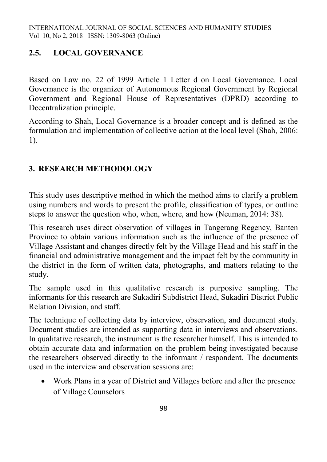# **2.5. LOCAL GOVERNANCE**

Based on Law no. 22 of 1999 Article 1 Letter d on Local Governance. Local Governance is the organizer of Autonomous Regional Government by Regional Government and Regional House of Representatives (DPRD) according to Decentralization principle.

According to Shah, Local Governance is a broader concept and is defined as the formulation and implementation of collective action at the local level (Shah, 2006: 1).

# **3. RESEARCH METHODOLOGY**

This study uses descriptive method in which the method aims to clarify a problem using numbers and words to present the profile, classification of types, or outline steps to answer the question who, when, where, and how (Neuman, 2014: 38).

This research uses direct observation of villages in Tangerang Regency, Banten Province to obtain various information such as the influence of the presence of Village Assistant and changes directly felt by the Village Head and his staff in the financial and administrative management and the impact felt by the community in the district in the form of written data, photographs, and matters relating to the study.

The sample used in this qualitative research is purposive sampling. The informants for this research are Sukadiri Subdistrict Head, Sukadiri District Public Relation Division, and staff.

The technique of collecting data by interview, observation, and document study. Document studies are intended as supporting data in interviews and observations. In qualitative research, the instrument is the researcher himself. This is intended to obtain accurate data and information on the problem being investigated because the researchers observed directly to the informant / respondent. The documents used in the interview and observation sessions are:

 Work Plans in a year of District and Villages before and after the presence of Village Counselors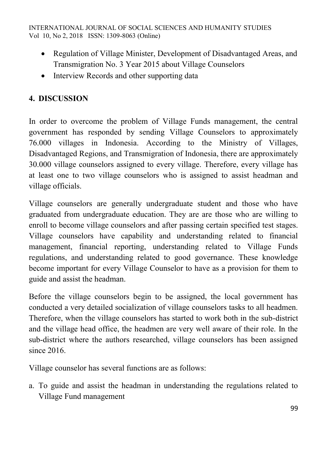- Regulation of Village Minister, Development of Disadvantaged Areas, and Transmigration No. 3 Year 2015 about Village Counselors
- Interview Records and other supporting data

# **4. DISCUSSION**

In order to overcome the problem of Village Funds management, the central government has responded by sending Village Counselors to approximately 76.000 villages in Indonesia. According to the Ministry of Villages, Disadvantaged Regions, and Transmigration of Indonesia, there are approximately 30.000 village counselors assigned to every village. Therefore, every village has at least one to two village counselors who is assigned to assist headman and village officials.

Village counselors are generally undergraduate student and those who have graduated from undergraduate education. They are are those who are willing to enroll to become village counselors and after passing certain specified test stages. Village counselors have capability and understanding related to financial management, financial reporting, understanding related to Village Funds regulations, and understanding related to good governance. These knowledge become important for every Village Counselor to have as a provision for them to guide and assist the headman.

Before the village counselors begin to be assigned, the local government has conducted a very detailed socialization of village counselors tasks to all headmen. Therefore, when the village counselors has started to work both in the sub-district and the village head office, the headmen are very well aware of their role. In the sub-district where the authors researched, village counselors has been assigned since 2016.

Village counselor has several functions are as follows:

a. To guide and assist the headman in understanding the regulations related to Village Fund management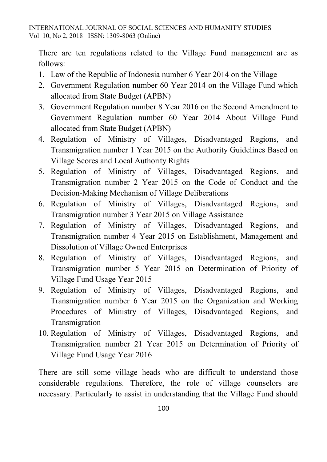There are ten regulations related to the Village Fund management are as follows:

- 1. Law of the Republic of Indonesia number 6 Year 2014 on the Village
- 2. Government Regulation number 60 Year 2014 on the Village Fund which allocated from State Budget (APBN)
- 3. Government Regulation number 8 Year 2016 on the Second Amendment to Government Regulation number 60 Year 2014 About Village Fund allocated from State Budget (APBN)
- 4. Regulation of Ministry of Villages, Disadvantaged Regions, and Transmigration number 1 Year 2015 on the Authority Guidelines Based on Village Scores and Local Authority Rights
- 5. Regulation of Ministry of Villages, Disadvantaged Regions, and Transmigration number 2 Year 2015 on the Code of Conduct and the Decision-Making Mechanism of Village Deliberations
- 6. Regulation of Ministry of Villages, Disadvantaged Regions, and Transmigration number 3 Year 2015 on Village Assistance
- 7. Regulation of Ministry of Villages, Disadvantaged Regions, and Transmigration number 4 Year 2015 on Establishment, Management and Dissolution of Village Owned Enterprises
- 8. Regulation of Ministry of Villages, Disadvantaged Regions, and Transmigration number 5 Year 2015 on Determination of Priority of Village Fund Usage Year 2015
- 9. Regulation of Ministry of Villages, Disadvantaged Regions, and Transmigration number 6 Year 2015 on the Organization and Working Procedures of Ministry of Villages, Disadvantaged Regions, and Transmigration
- 10. Regulation of Ministry of Villages, Disadvantaged Regions, and Transmigration number 21 Year 2015 on Determination of Priority of Village Fund Usage Year 2016

There are still some village heads who are difficult to understand those considerable regulations. Therefore, the role of village counselors are necessary. Particularly to assist in understanding that the Village Fund should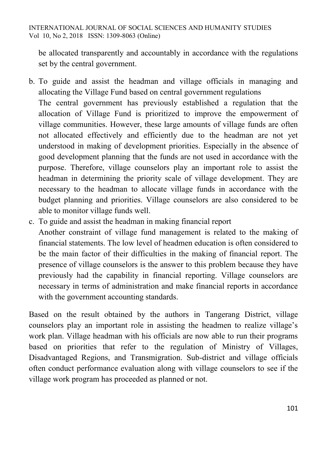be allocated transparently and accountably in accordance with the regulations set by the central government.

- b. To guide and assist the headman and village officials in managing and allocating the Village Fund based on central government regulations The central government has previously established a regulation that the allocation of Village Fund is prioritized to improve the empowerment of village communities. However, these large amounts of village funds are often not allocated effectively and efficiently due to the headman are not yet understood in making of development priorities. Especially in the absence of good development planning that the funds are not used in accordance with the purpose. Therefore, village counselors play an important role to assist the headman in determining the priority scale of village development. They are necessary to the headman to allocate village funds in accordance with the budget planning and priorities. Village counselors are also considered to be able to monitor village funds well.
- c. To guide and assist the headman in making financial report

Another constraint of village fund management is related to the making of financial statements. The low level of headmen education is often considered to be the main factor of their difficulties in the making of financial report. The presence of village counselors is the answer to this problem because they have previously had the capability in financial reporting. Village counselors are necessary in terms of administration and make financial reports in accordance with the government accounting standards.

Based on the result obtained by the authors in Tangerang District, village counselors play an important role in assisting the headmen to realize village's work plan. Village headman with his officials are now able to run their programs based on priorities that refer to the regulation of Ministry of Villages, Disadvantaged Regions, and Transmigration. Sub-district and village officials often conduct performance evaluation along with village counselors to see if the village work program has proceeded as planned or not.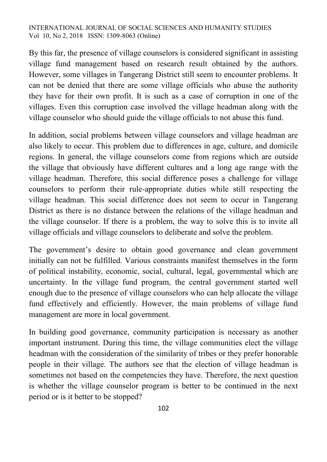By this far, the presence of village counselors is considered significant in assisting village fund management based on research result obtained by the authors. However, some villages in Tangerang District still seem to encounter problems. It can not be denied that there are some village officials who abuse the authority they have for their own profit. It is such as a case of corruption in one of the villages. Even this corruption case involved the village headman along with the village counselor who should guide the village officials to not abuse this fund.

In addition, social problems between village counselors and village headman are also likely to occur. This problem due to differences in age, culture, and domicile regions. In general, the village counselors come from regions which are outside the village that obviously have different cultures and a long age range with the village headman. Therefore, this social difference poses a challenge for village counselors to perform their rule-appropriate duties while still respecting the village headman. This social difference does not seem to occur in Tangerang District as there is no distance between the relations of the village headman and the village counselor. If there is a problem, the way to solve this is to invite all village officials and village counselors to deliberate and solve the problem.

The government's desire to obtain good governance and clean government initially can not be fulfilled. Various constraints manifest themselves in the form of political instability, economic, social, cultural, legal, governmental which are uncertainty. In the village fund program, the central government started well enough due to the presence of village counselors who can help allocate the village fund effectively and efficiently. However, the main problems of village fund management are more in local government.

In building good governance, community participation is necessary as another important instrument. During this time, the village communities elect the village headman with the consideration of the similarity of tribes or they prefer honorable people in their village. The authors see that the election of village headman is sometimes not based on the competencies they have. Therefore, the next question is whether the village counselor program is better to be continued in the next period or is it better to be stopped?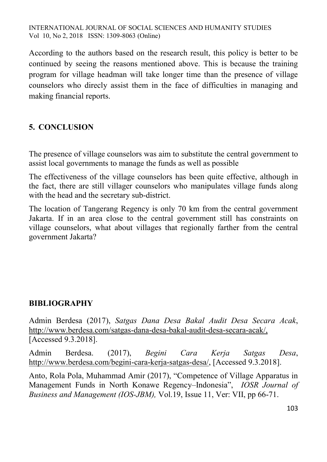According to the authors based on the research result, this policy is better to be continued by seeing the reasons mentioned above. This is because the training program for village headman will take longer time than the presence of village counselors who direcly assist them in the face of difficulties in managing and making financial reports.

# **5. CONCLUSION**

The presence of village counselors was aim to substitute the central government to assist local governments to manage the funds as well as possible

The effectiveness of the village counselors has been quite effective, although in the fact, there are still villager counselors who manipulates village funds along with the head and the secretary sub-district.

The location of Tangerang Regency is only 70 km from the central government Jakarta. If in an area close to the central government still has constraints on village counselors, what about villages that regionally farther from the central government Jakarta?

### **BIBLIOGRAPHY**

Admin Berdesa (2017), *Satgas Dana Desa Bakal Audit Desa Secara Acak*, [http://www.berdesa.com/satgas-dana-desa-bakal-audit-desa-secara-acak/,](http://www.berdesa.com/satgas-dana-desa-bakal-audit-desa-secara-acak/) [Accessed 9.3.2018].

Admin Berdesa. (2017), *Begini Cara Kerja Satgas Desa*, [http://www.berdesa.com/begini-cara-kerja-satgas-desa/,](http://www.berdesa.com/begini-cara-kerja-satgas-desa/) [Accessed 9.3.2018].

Anto, Rola Pola, Muhammad Amir (2017), "Competence of Village Apparatus in Management Funds in North Konawe Regency–Indonesia", *IOSR Journal of Business and Management (IOS-JBM),* Vol.19, Issue 11, Ver: VII, pp 66-71.